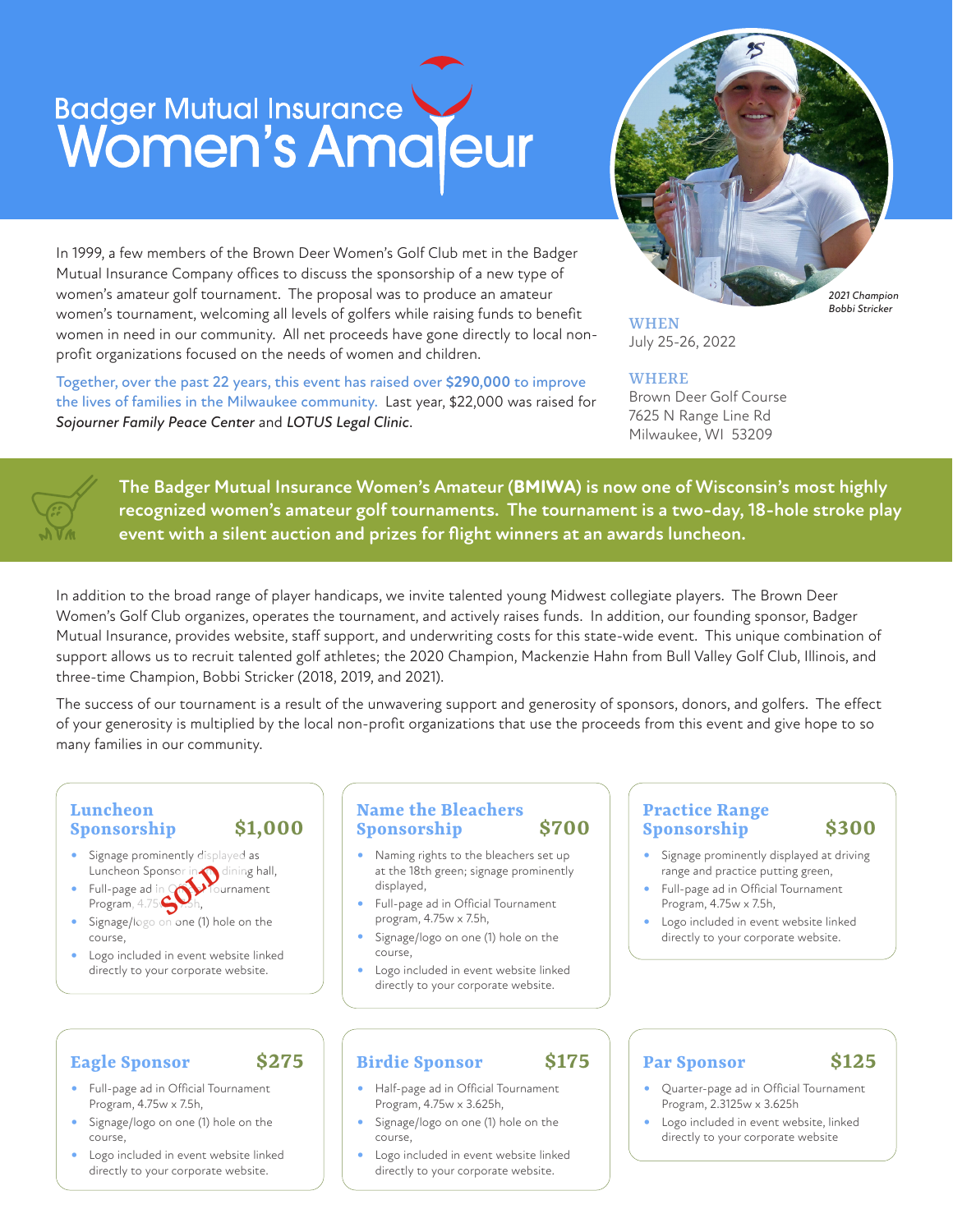## Badger Mutual Insurance

In 1999, a few members of the Brown Deer Women's Golf Club met in the Badger Mutual Insurance Company offices to discuss the sponsorship of a new type of women's amateur golf tournament. The proposal was to produce an amateur women's tournament, welcoming all levels of golfers while raising funds to benefit women in need in our community. All net proceeds have gone directly to local nonprofit organizations focused on the needs of women and children.

Together, over the past 22 years, this event has raised over **\$290,000** to improve the lives of families in the Milwaukee community. Last year, \$22,000 was raised for *Sojourner Family Peace Center* and *LOTUS Legal Clinic*.



WHEN July 25-26, 2022

#### WHERE

Brown Deer Golf Course 7625 N Range Line Rd Milwaukee, WI 53209



**The Badger Mutual Insurance Women's Amateur (BMIWA) is now one of Wisconsin's most highly recognized women's amateur golf tournaments. The tournament is a two-day, 18-hole stroke play event with a silent auction and prizes for flight winners at an awards luncheon.** 

In addition to the broad range of player handicaps, we invite talented young Midwest collegiate players. The Brown Deer Women's Golf Club organizes, operates the tournament, and actively raises funds. In addition, our founding sponsor, Badger Mutual Insurance, provides website, staff support, and underwriting costs for this state-wide event. This unique combination of support allows us to recruit talented golf athletes; the 2020 Champion, Mackenzie Hahn from Bull Valley Golf Club, Illinois, and three-time Champion, Bobbi Stricker (2018, 2019, and 2021).

The success of our tournament is a result of the unwavering support and generosity of sponsors, donors, and golfers. The effect of your generosity is multiplied by the local non-profit organizations that use the proceeds from this event and give hope to so many families in our community.

#### **Luncheon Sponsorship \$1,000**

- Signage prominently displayed as
- Luncheon Sponsor in **Sponsor in Sponsor**<br>Full-page ad in **SOL**<br>Program, 4.75. • Full-page ad in **Computer** Tournament
- Signage/logo on one (1) hole on the course,
- Logo included in event website linked directly to your corporate website.

#### **Name the Bleachers Sponsorship \$700**

- Naming rights to the bleachers set up at the 18th green; signage prominently displayed,
- Full-page ad in Official Tournament program, 4.75w x 7.5h,
- Signage/logo on one (1) hole on the course,
- Logo included in event website linked directly to your corporate website.

#### **Practice Range Sponsorship \$300**

- Signage prominently displayed at driving range and practice putting green,
- Full-page ad in Official Tournament Program, 4.75w x 7.5h,
- Logo included in event website linked directly to your corporate website.

#### **Eagle Sponsor \$275**

- Full-page ad in Official Tournament Program, 4.75w x 7.5h,
- Signage/logo on one (1) hole on the course,
- Logo included in event website linked directly to your corporate website.

## **Birdie Sponsor \$175**

- Half-page ad in Official Tournament Program, 4.75w x 3.625h,
- Signage/logo on one (1) hole on the course,
- Logo included in event website linked directly to your corporate website.

#### **Par Sponsor \$125**

- Quarter-page ad in Official Tournament Program, 2.3125w x 3.625h
- Logo included in event website, linked directly to your corporate website